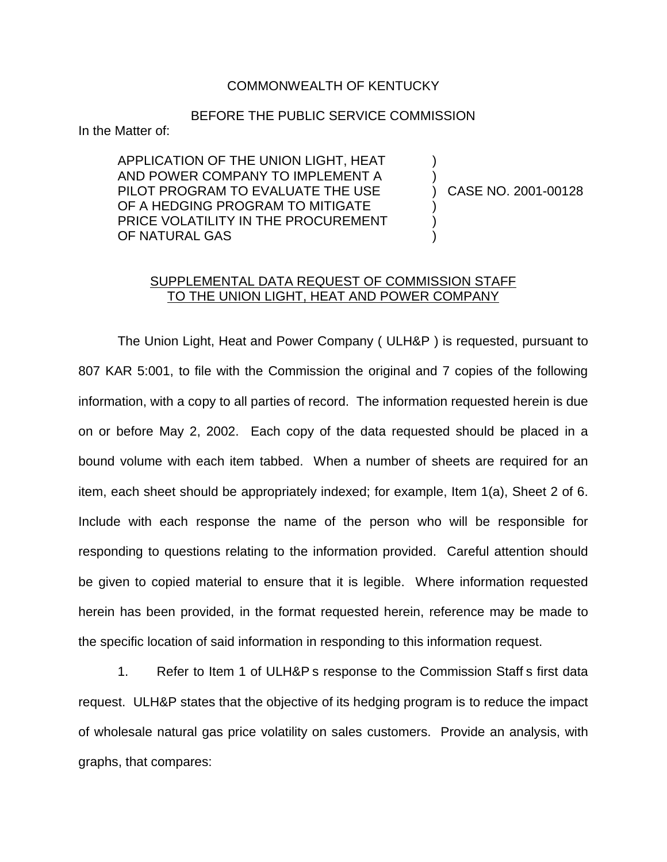## COMMONWEALTH OF KENTUCKY

## BEFORE THE PUBLIC SERVICE COMMISSION

In the Matter of:

APPLICATION OF THE UNION LIGHT, HEAT AND POWER COMPANY TO IMPLEMENT A PILOT PROGRAM TO EVALUATE THE USE OF A HEDGING PROGRAM TO MITIGATE PRICE VOLATILITY IN THE PROCUREMENT OF NATURAL GAS

) CASE NO. 2001-00128

) )

) ) )

## SUPPLEMENTAL DATA REQUEST OF COMMISSION STAFF TO THE UNION LIGHT, HEAT AND POWER COMPANY

The Union Light, Heat and Power Company ( ULH&P ) is requested, pursuant to 807 KAR 5:001, to file with the Commission the original and 7 copies of the following information, with a copy to all parties of record. The information requested herein is due on or before May 2, 2002. Each copy of the data requested should be placed in a bound volume with each item tabbed. When a number of sheets are required for an item, each sheet should be appropriately indexed; for example, Item 1(a), Sheet 2 of 6. Include with each response the name of the person who will be responsible for responding to questions relating to the information provided. Careful attention should be given to copied material to ensure that it is legible. Where information requested herein has been provided, in the format requested herein, reference may be made to the specific location of said information in responding to this information request.

1. Refer to Item 1 of ULH&P s response to the Commission Staff s first data request. ULH&P states that the objective of its hedging program is to reduce the impact of wholesale natural gas price volatility on sales customers. Provide an analysis, with graphs, that compares: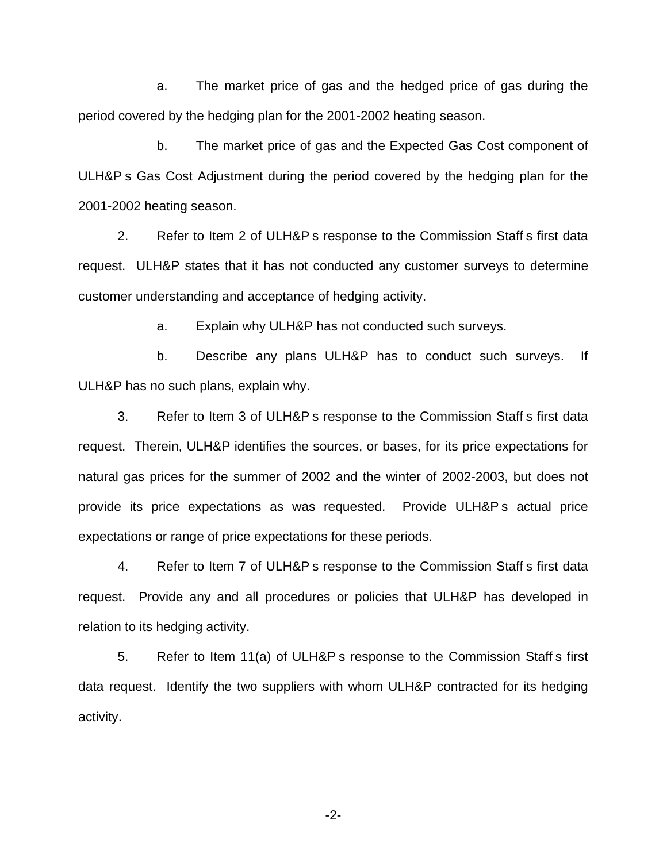a. The market price of gas and the hedged price of gas during the period covered by the hedging plan for the 2001-2002 heating season.

b. The market price of gas and the Expected Gas Cost component of ULH&P s Gas Cost Adjustment during the period covered by the hedging plan for the 2001-2002 heating season.

2. Refer to Item 2 of ULH&P s response to the Commission Staff s first data request. ULH&P states that it has not conducted any customer surveys to determine customer understanding and acceptance of hedging activity.

a. Explain why ULH&P has not conducted such surveys.

b. Describe any plans ULH&P has to conduct such surveys. If ULH&P has no such plans, explain why.

3. Refer to Item 3 of ULH&P s response to the Commission Staff s first data request. Therein, ULH&P identifies the sources, or bases, for its price expectations for natural gas prices for the summer of 2002 and the winter of 2002-2003, but does not provide its price expectations as was requested. Provide ULH&P s actual price expectations or range of price expectations for these periods.

4. Refer to Item 7 of ULH&P s response to the Commission Staff s first data request. Provide any and all procedures or policies that ULH&P has developed in relation to its hedging activity.

5. Refer to Item 11(a) of ULH&P s response to the Commission Staff s first data request. Identify the two suppliers with whom ULH&P contracted for its hedging activity.

-2-